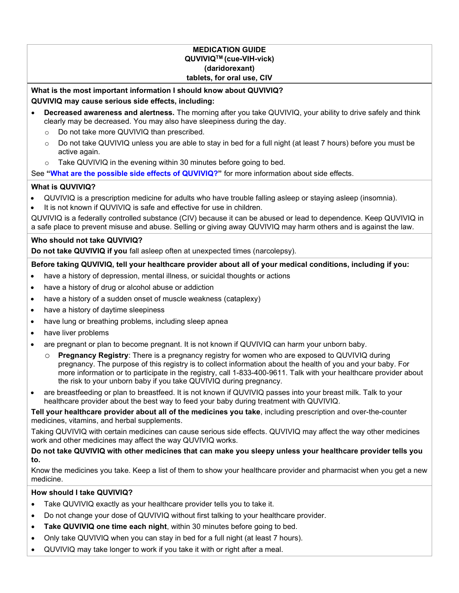## MEDICATION GUIDE QUVIVIQTM (cue-VIH-vick) (daridorexant) tablets, for oral use, CIV

<span id="page-0-0"></span>What is the most important information I should know about QUVIVIQ? QUVIVIQ may cause serious side effects, including:

- Decreased awareness and alertness. The morning after you take QUVIVIQ, your ability to drive safely and think clearly may be decreased. You may also have sleepiness during the day.
	- o Do not take more QUVIVIQ than prescribed.
	- o Do not take QUVIVIQ unless you are able to stay in bed for a full night (at least 7 hours) before you must be active again.
	- o Take QUVIVIQ in the evening within 30 minutes before going to bed.

See ["What are the possible side effects of QUVIVIQ?](#page-1-0)" for more information about side effects.

# What is QUVIVIQ?

- QUVIVIQ is a prescription medicine for adults who have trouble falling asleep or staying asleep (insomnia).
- It is not known if QUVIVIQ is safe and effective for use in children.

QUVIVIQ is a federally controlled substance (CIV) because it can be abused or lead to dependence. Keep QUVIVIQ in a safe place to prevent misuse and abuse. Selling or giving away QUVIVIQ may harm others and is against the law.

# Who should not take QUVIVIQ?

Do not take QUVIVIQ if you fall asleep often at unexpected times (narcolepsy).

# Before taking QUVIVIQ, tell your healthcare provider about all of your medical conditions, including if you:

- have a history of depression, mental illness, or suicidal thoughts or actions
- have a history of drug or alcohol abuse or addiction
- have a history of a sudden onset of muscle weakness (cataplexy)
- have a history of daytime sleepiness
- have lung or breathing problems, including sleep apnea
- have liver problems
- are pregnant or plan to become pregnant. It is not known if QUVIVIQ can harm your unborn baby.
	- **Pregnancy Registry:** There is a pregnancy registry for women who are exposed to QUVIVIQ during pregnancy. The purpose of this registry is to collect information about the health of you and your baby. For more information or to participate in the registry, call 1-833-400-9611. Talk with your healthcare provider about the risk to your unborn baby if you take QUVIVIQ during pregnancy.
- are breastfeeding or plan to breastfeed. It is not known if QUVIVIQ passes into your breast milk. Talk to your healthcare provider about the best way to feed your baby during treatment with QUVIVIQ.

Tell your healthcare provider about all of the medicines you take, including prescription and over-the-counter medicines, vitamins, and herbal supplements.

Taking QUVIVIQ with certain medicines can cause serious side effects. QUVIVIQ may affect the way other medicines work and other medicines may affect the way QUVIVIQ works.

## Do not take QUVIVIQ with other medicines that can make you sleepy unless your healthcare provider tells you to.

Know the medicines you take. Keep a list of them to show your healthcare provider and pharmacist when you get a new medicine.

# How should I take QUVIVIQ?

- Take QUVIVIQ exactly as your healthcare provider tells you to take it.
- Do not change your dose of QUVIVIQ without first talking to your healthcare provider.
- Take QUVIVIQ one time each night, within 30 minutes before going to bed.
- Only take QUVIVIQ when you can stay in bed for a full night (at least 7 hours).
- QUVIVIQ may take longer to work if you take it with or right after a meal.